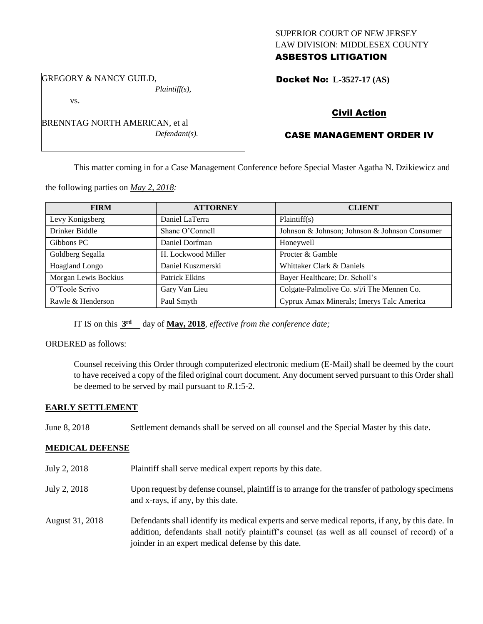### SUPERIOR COURT OF NEW JERSEY LAW DIVISION: MIDDLESEX COUNTY ASBESTOS LITIGATION

GREGORY & NANCY GUILD,

*Plaintiff(s),*

vs.

BRENNTAG NORTH AMERICAN, et al *Defendant(s).*

# Docket No: **L-3527-17 (AS)**

# Civil Action

# CASE MANAGEMENT ORDER IV

This matter coming in for a Case Management Conference before Special Master Agatha N. Dzikiewicz and

the following parties on *May 2, 2018:*

| <b>FIRM</b>          | <b>ATTORNEY</b>       | <b>CLIENT</b>                                 |
|----------------------|-----------------------|-----------------------------------------------|
| Levy Konigsberg      | Daniel LaTerra        | Plaintiff(s)                                  |
| Drinker Biddle       | Shane O'Connell       | Johnson & Johnson; Johnson & Johnson Consumer |
| Gibbons PC           | Daniel Dorfman        | Honeywell                                     |
| Goldberg Segalla     | H. Lockwood Miller    | Procter & Gamble                              |
| Hoagland Longo       | Daniel Kuszmerski     | Whittaker Clark & Daniels                     |
| Morgan Lewis Bockius | <b>Patrick Elkins</b> | Bayer Healthcare; Dr. Scholl's                |
| O'Toole Scrivo       | Gary Van Lieu         | Colgate-Palmolive Co. s/i/i The Mennen Co.    |
| Rawle & Henderson    | Paul Smyth            | Cyprux Amax Minerals; Imerys Talc America     |

IT IS on this  $3<sup>rd</sup>$  day of May, 2018, *effective from the conference date*;

### ORDERED as follows:

Counsel receiving this Order through computerized electronic medium (E-Mail) shall be deemed by the court to have received a copy of the filed original court document. Any document served pursuant to this Order shall be deemed to be served by mail pursuant to *R*.1:5-2.

### **EARLY SETTLEMENT**

June 8, 2018 Settlement demands shall be served on all counsel and the Special Master by this date.

### **MEDICAL DEFENSE**

July 2, 2018 Plaintiff shall serve medical expert reports by this date. July 2, 2018 Upon request by defense counsel, plaintiff is to arrange for the transfer of pathology specimens and x-rays, if any, by this date. August 31, 2018 Defendants shall identify its medical experts and serve medical reports, if any, by this date. In addition, defendants shall notify plaintiff's counsel (as well as all counsel of record) of a joinder in an expert medical defense by this date.